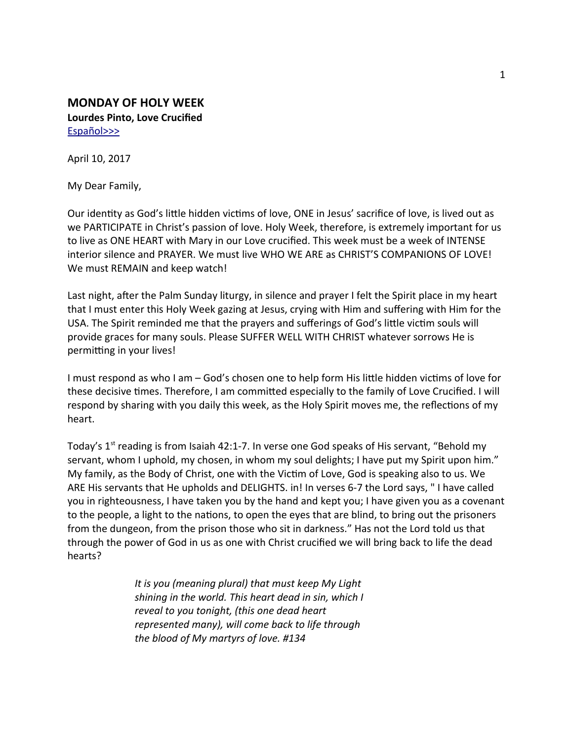## **MONDAY OF HOLY WEEK Lourdes Pinto, Love Crucifed** [Español>>>](#page-3-0)

April 10, 2017

My Dear Family,

Our identty as God's litle hidden victms of love, ONE in Jesus' sacrifce of love, is lived out as we PARTICIPATE in Christ's passion of love. Holy Week, therefore, is extremely important for us to live as ONE HEART with Mary in our Love crucifed. This week must be a week of INTENSE interior silence and PRAYER. We must live WHO WE ARE as CHRIST'S COMPANIONS OF LOVE! We must REMAIN and keep watch!

Last night, after the Palm Sunday liturgy, in silence and prayer I felt the Spirit place in my heart that I must enter this Holy Week gazing at Jesus, crying with Him and sufering with Him for the USA. The Spirit reminded me that the prayers and suferings of God's litle victm souls will provide graces for many souls. Please SUFFER WELL WITH CHRIST whatever sorrows He is permitting in your lives!

I must respond as who I am – God's chosen one to help form His little hidden victims of love for these decisive tmes. Therefore, I am commited especially to the family of Love Crucifed. I will respond by sharing with you daily this week, as the Holy Spirit moves me, the reflections of my heart.

Today's  $1<sup>st</sup>$  reading is from Isaiah 42:1-7. In verse one God speaks of His servant, "Behold my servant, whom I uphold, my chosen, in whom my soul delights; I have put my Spirit upon him." My family, as the Body of Christ, one with the Victm of Love, God is speaking also to us. We ARE His servants that He upholds and DELIGHTS. in! In verses 6-7 the Lord says, " I have called you in righteousness, I have taken you by the hand and kept you; I have given you as a covenant to the people, a light to the nations, to open the eyes that are blind, to bring out the prisoners from the dungeon, from the prison those who sit in darkness." Has not the Lord told us that through the power of God in us as one with Christ crucifed we will bring back to life the dead hearts?

> *It is you (meaning plural) that must keep My Light shining in the world. This heart dead in sin, which I reveal to you tonight, (this one dead heart represented many), will come back to life through the blood of My martyrs of love. #134*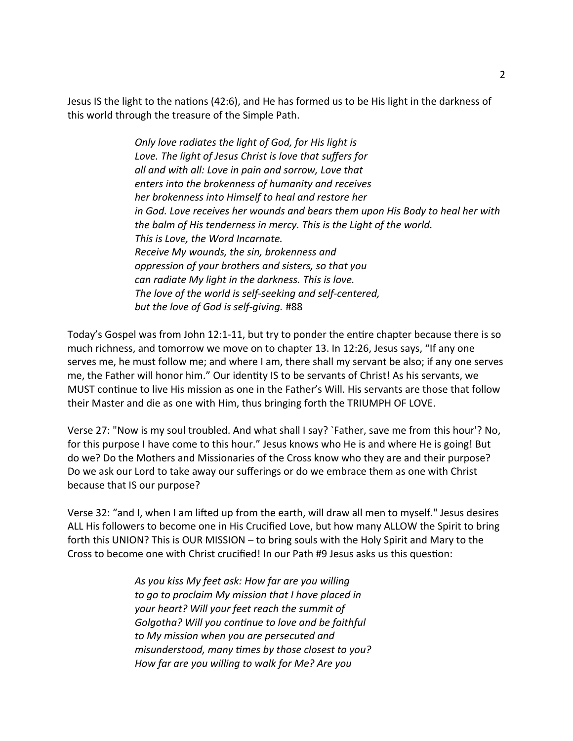Jesus IS the light to the natons (42:6), and He has formed us to be His light in the darkness of this world through the treasure of the Simple Path.

> *Only love radiates the light of God, for His light is Love. The light of Jesus Christ is love that sufers for all and with all: Love in pain and sorrow, Love that enters into the brokenness of humanity and receives her brokenness into Himself to heal and restore her in God. Love receives her wounds and bears them upon His Body to heal her with the balm of His tenderness in mercy. This is the Light of the world. This is Love, the Word Incarnate. Receive My wounds, the sin, brokenness and oppression of your brothers and sisters, so that you can radiate My light in the darkness. This is love. The love of the world is self-seeking and self-centered, but the love of God is self-giving.* #88

Today's Gospel was from John 12:1-11, but try to ponder the entre chapter because there is so much richness, and tomorrow we move on to chapter 13. In 12:26, Jesus says, "If any one serves me, he must follow me; and where I am, there shall my servant be also; if any one serves me, the Father will honor him." Our identty IS to be servants of Christ! As his servants, we MUST continue to live His mission as one in the Father's Will. His servants are those that follow their Master and die as one with Him, thus bringing forth the TRIUMPH OF LOVE.

Verse 27: "Now is my soul troubled. And what shall I say? `Father, save me from this hour'? No, for this purpose I have come to this hour." Jesus knows who He is and where He is going! But do we? Do the Mothers and Missionaries of the Cross know who they are and their purpose? Do we ask our Lord to take away our suferings or do we embrace them as one with Christ because that IS our purpose?

Verse 32: "and I, when I am lifed up from the earth, will draw all men to myself." Jesus desires ALL His followers to become one in His Crucifed Love, but how many ALLOW the Spirit to bring forth this UNION? This is OUR MISSION – to bring souls with the Holy Spirit and Mary to the Cross to become one with Christ crucifed! In our Path #9 Jesus asks us this queston:

> *As you kiss My feet ask: How far are you willing to go to proclaim My mission that I have placed in your heart? Will your feet reach the summit of Golgotha? Will you contnue to love and be faithful to My mission when you are persecuted and misunderstood, many tmes by those closest to you? How far are you willing to walk for Me? Are you*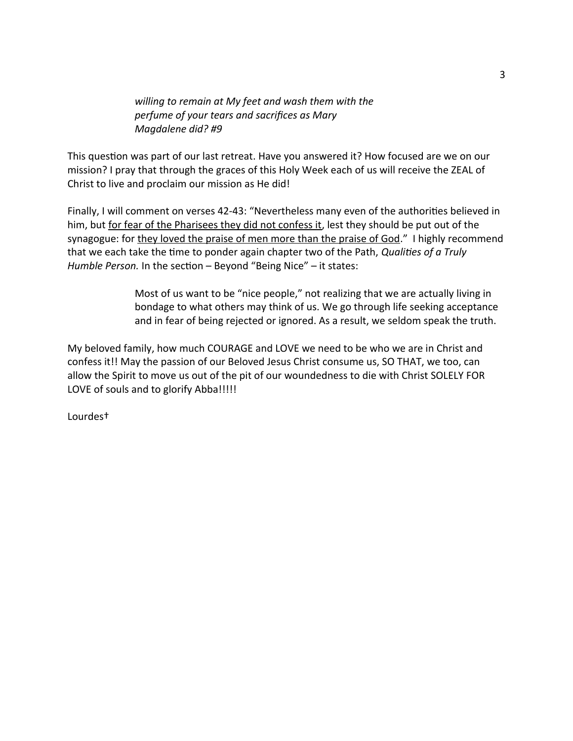*willing to remain at My feet and wash them with the perfume of your tears and sacrifces as Mary Magdalene did? #9*

This question was part of our last retreat. Have you answered it? How focused are we on our mission? I pray that through the graces of this Holy Week each of us will receive the ZEAL of Christ to live and proclaim our mission as He did!

Finally, I will comment on verses 42-43: "Nevertheless many even of the authorities believed in him, but for fear of the Pharisees they did not confess it, lest they should be put out of the synagogue: for they loved the praise of men more than the praise of God." I highly recommend that we each take the tme to ponder again chapter two of the Path, *Qualites of a Truly Humble Person.* In the section - Beyond "Being Nice" - it states:

> Most of us want to be "nice people," not realizing that we are actually living in bondage to what others may think of us. We go through life seeking acceptance and in fear of being rejected or ignored. As a result, we seldom speak the truth.

My beloved family, how much COURAGE and LOVE we need to be who we are in Christ and confess it!! May the passion of our Beloved Jesus Christ consume us, SO THAT, we too, can allow the Spirit to move us out of the pit of our woundedness to die with Christ SOLELY FOR LOVE of souls and to glorify Abba!!!!!

Lourdes†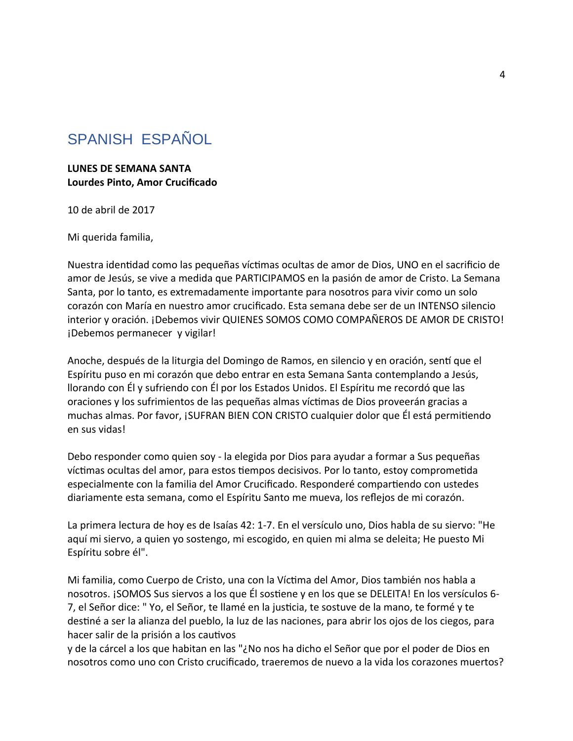## <span id="page-3-0"></span>SPANISH ESPAÑOL

**LUNES DE SEMANA SANTA Lourdes Pinto, Amor Crucifcado**

10 de abril de 2017

Mi querida familia,

Nuestra identdad como las pequeñas víctmas ocultas de amor de Dios, UNO en el sacrifcio de amor de Jesús, se vive a medida que PARTICIPAMOS en la pasión de amor de Cristo. La Semana Santa, por lo tanto, es extremadamente importante para nosotros para vivir como un solo corazón con María en nuestro amor crucifcado. Esta semana debe ser de un INTENSO silencio interior y oración. ¡Debemos vivir QUIENES SOMOS COMO COMPAÑEROS DE AMOR DE CRISTO! ¡Debemos permanecer y vigilar!

Anoche, después de la liturgia del Domingo de Ramos, en silencio y en oración, sentí que el Espíritu puso en mi corazón que debo entrar en esta Semana Santa contemplando a Jesús, llorando con Él y sufriendo con Él por los Estados Unidos. El Espíritu me recordó que las oraciones y los sufrimientos de las pequeñas almas víctmas de Dios proveerán gracias a muchas almas. Por favor, ¡SUFRAN BIEN CON CRISTO cualquier dolor que Él está permitendo en sus vidas!

Debo responder como quien soy - la elegida por Dios para ayudar a formar a Sus pequeñas víctmas ocultas del amor, para estos tempos decisivos. Por lo tanto, estoy comprometda especialmente con la familia del Amor Crucifcado. Responderé compartendo con ustedes diariamente esta semana, como el Espíritu Santo me mueva, los refejos de mi corazón.

La primera lectura de hoy es de Isaías 42: 1-7. En el versículo uno, Dios habla de su siervo: "He aquí mi siervo, a quien yo sostengo, mi escogido, en quien mi alma se deleita; He puesto Mi Espíritu sobre él".

Mi familia, como Cuerpo de Cristo, una con la Víctma del Amor, Dios también nos habla a nosotros. ¡SOMOS Sus siervos a los que Él sostene y en los que se DELEITA! En los versículos 6- 7, el Señor dice: " Yo, el Señor, te llamé en la justcia, te sostuve de la mano, te formé y te destné a ser la alianza del pueblo, la luz de las naciones, para abrir los ojos de los ciegos, para hacer salir de la prisión a los cautvos

y de la cárcel a los que habitan en las "¿No nos ha dicho el Señor que por el poder de Dios en nosotros como uno con Cristo crucifcado, traeremos de nuevo a la vida los corazones muertos?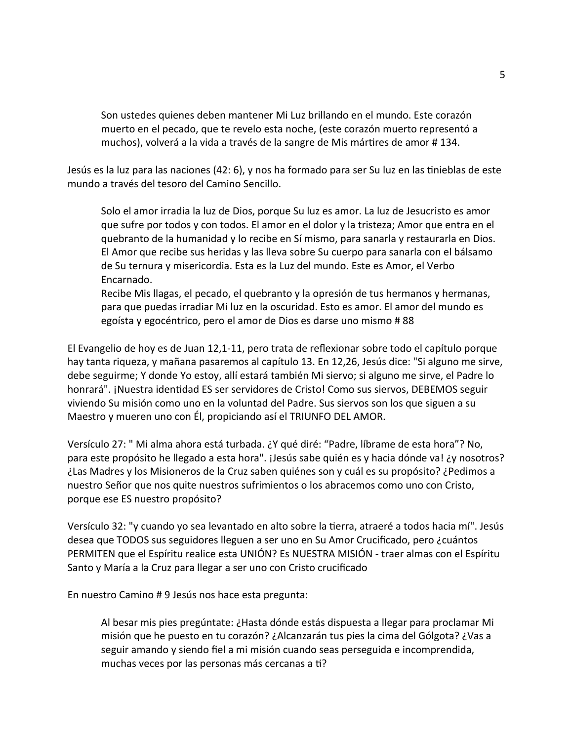Son ustedes quienes deben mantener Mi Luz brillando en el mundo. Este corazón muerto en el pecado, que te revelo esta noche, (este corazón muerto representó a muchos), volverá a la vida a través de la sangre de Mis mártres de amor # 134.

Jesús es la luz para las naciones (42: 6), y nos ha formado para ser Su luz en las tnieblas de este mundo a través del tesoro del Camino Sencillo.

Solo el amor irradia la luz de Dios, porque Su luz es amor. La luz de Jesucristo es amor que sufre por todos y con todos. El amor en el dolor y la tristeza; Amor que entra en el quebranto de la humanidad y lo recibe en Sí mismo, para sanarla y restaurarla en Dios. El Amor que recibe sus heridas y las lleva sobre Su cuerpo para sanarla con el bálsamo de Su ternura y misericordia. Esta es la Luz del mundo. Este es Amor, el Verbo Encarnado.

Recibe Mis llagas, el pecado, el quebranto y la opresión de tus hermanos y hermanas, para que puedas irradiar Mi luz en la oscuridad. Esto es amor. El amor del mundo es egoísta y egocéntrico, pero el amor de Dios es darse uno mismo # 88

El Evangelio de hoy es de Juan 12,1-11, pero trata de refexionar sobre todo el capítulo porque hay tanta riqueza, y mañana pasaremos al capítulo 13. En 12,26, Jesús dice: "Si alguno me sirve, debe seguirme; Y donde Yo estoy, allí estará también Mi siervo; si alguno me sirve, el Padre lo honrará". ¡Nuestra identdad ES ser servidores de Cristo! Como sus siervos, DEBEMOS seguir viviendo Su misión como uno en la voluntad del Padre. Sus siervos son los que siguen a su Maestro y mueren uno con Él, propiciando así el TRIUNFO DEL AMOR.

Versículo 27: " Mi alma ahora está turbada. ¿Y qué diré: "Padre, líbrame de esta hora"? No, para este propósito he llegado a esta hora". ¡Jesús sabe quién es y hacia dónde va! ¿y nosotros? ¿Las Madres y los Misioneros de la Cruz saben quiénes son y cuál es su propósito? ¿Pedimos a nuestro Señor que nos quite nuestros sufrimientos o los abracemos como uno con Cristo, porque ese ES nuestro propósito?

Versículo 32: "y cuando yo sea levantado en alto sobre la terra, atraeré a todos hacia mí". Jesús desea que TODOS sus seguidores lleguen a ser uno en Su Amor Crucifcado, pero ¿cuántos PERMITEN que el Espíritu realice esta UNIÓN? Es NUESTRA MISIÓN - traer almas con el Espíritu Santo y María a la Cruz para llegar a ser uno con Cristo crucifcado

En nuestro Camino # 9 Jesús nos hace esta pregunta:

Al besar mis pies pregúntate: ¿Hasta dónde estás dispuesta a llegar para proclamar Mi misión que he puesto en tu corazón? ¿Alcanzarán tus pies la cima del Gólgota? ¿Vas a seguir amando y siendo fel a mi misión cuando seas perseguida e incomprendida, muchas veces por las personas más cercanas a ti?